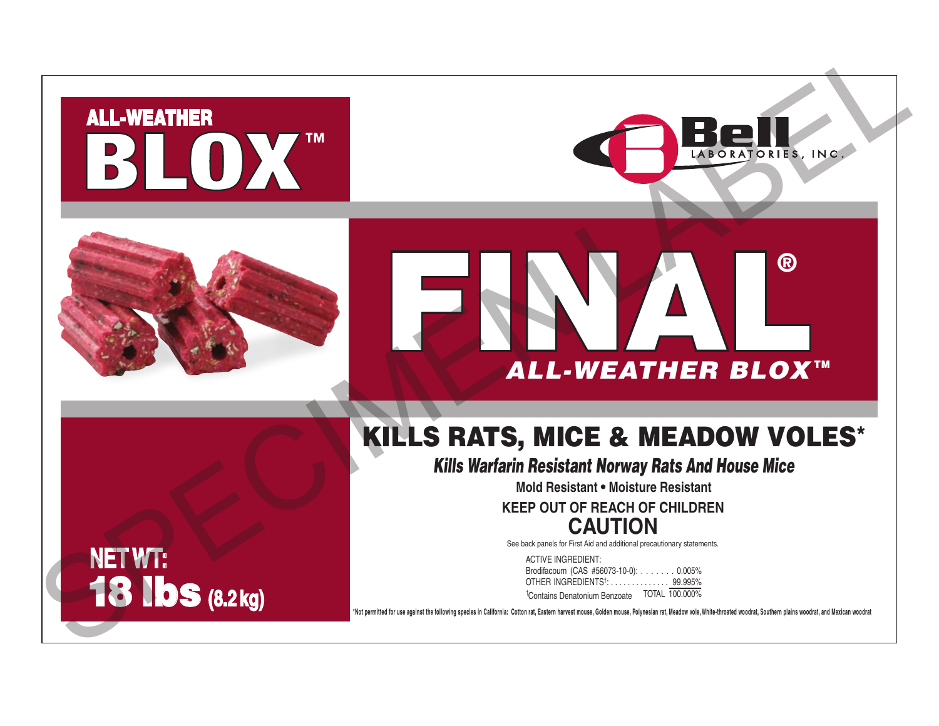## **BLOX**





# ® FINAL *ALL-WEATHER BLOX* TM BLOX"<br>
ALL.WEATHER BLOX"<br>
ALL.WEATHER BLOX"<br>
KILLS RATS, MICE & MEADOW VOLES'<br>
KILLS RATS, MICE & MEADOW VOLES'<br>
KILLS RATS, MICE & MEADOW VOLES'<br>
KILLS RATS, MICE & MEADOW VOLES'<br>
NETWITE<br>
18 IbS (8.2 kg)

### KILLS RATS, MICE & MEADOW VOLES\*

*Kills Warfarin Resistant Norway Rats And House Mice*

**Mold Resistant • Moisture Resistant**

**KEEP OUT OF REACH OF CHILDREN CAUTION**

See back panels for First Aid and additional precautionary statements.

| <b>ACTIVE INGREDIENT:</b>                 |                |
|-------------------------------------------|----------------|
| Brodifacoum (CAS #56073-10-0): 0.005%     |                |
| OTHER INGREDIENTS <sup>†</sup> : 99.995%  |                |
| <sup>†</sup> Contains Denatonium Benzoate | TOTAL 100.000% |

**\*Not permitted for use against the following species in California: Cotton rat, Eastern harvest mouse, Golden mouse, Polynesian rat, Meadow vole, White-throated woodrat, Southern plains woodrat, and Mexican woodrat**

**NET WT:** 18 lbs **(8.2 kg)**